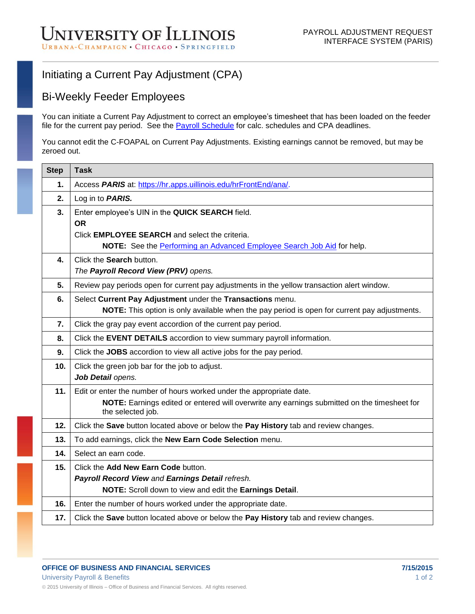## Initiating a Current Pay Adjustment (CPA)

## Bi-Weekly Feeder Employees

You can initiate a Current Pay Adjustment to correct an employee's timesheet that has been loaded on the feeder file for the current pay period. See the **Payroll Schedule** for calc. schedules and CPA deadlines.

You cannot edit the C-FOAPAL on Current Pay Adjustments. Existing earnings cannot be removed, but may be zeroed out.

| <b>Step</b> | <b>Task</b>                                                                                                      |
|-------------|------------------------------------------------------------------------------------------------------------------|
| 1.          | Access PARIS at: https://hr.apps.uillinois.edu/hrFrontEnd/ana/.                                                  |
| 2.          | Log in to <b>PARIS.</b>                                                                                          |
| 3.          | Enter employee's UIN in the QUICK SEARCH field.                                                                  |
|             | <b>OR</b>                                                                                                        |
|             | Click EMPLOYEE SEARCH and select the criteria.                                                                   |
|             | NOTE: See the Performing an Advanced Employee Search Job Aid for help.                                           |
| 4.          | Click the Search button.                                                                                         |
|             | The Payroll Record View (PRV) opens.                                                                             |
| 5.          | Review pay periods open for current pay adjustments in the yellow transaction alert window.                      |
| 6.          | Select Current Pay Adjustment under the Transactions menu.                                                       |
|             | NOTE: This option is only available when the pay period is open for current pay adjustments.                     |
| 7.          | Click the gray pay event accordion of the current pay period.                                                    |
| 8.          | Click the EVENT DETAILS accordion to view summary payroll information.                                           |
| 9.          | Click the JOBS accordion to view all active jobs for the pay period.                                             |
| 10.         | Click the green job bar for the job to adjust.                                                                   |
|             | Job Detail opens.                                                                                                |
| 11.         | Edit or enter the number of hours worked under the appropriate date.                                             |
|             | NOTE: Earnings edited or entered will overwrite any earnings submitted on the timesheet for<br>the selected job. |
| 12.         | Click the Save button located above or below the Pay History tab and review changes.                             |
| 13.         | To add earnings, click the New Earn Code Selection menu.                                                         |
| 14.         | Select an earn code.                                                                                             |
| 15.         | Click the Add New Earn Code button.                                                                              |
|             | Payroll Record View and Earnings Detail refresh.                                                                 |
|             | NOTE: Scroll down to view and edit the Earnings Detail.                                                          |
| 16.         | Enter the number of hours worked under the appropriate date.                                                     |
| 17.         | Click the Save button located above or below the Pay History tab and review changes.                             |